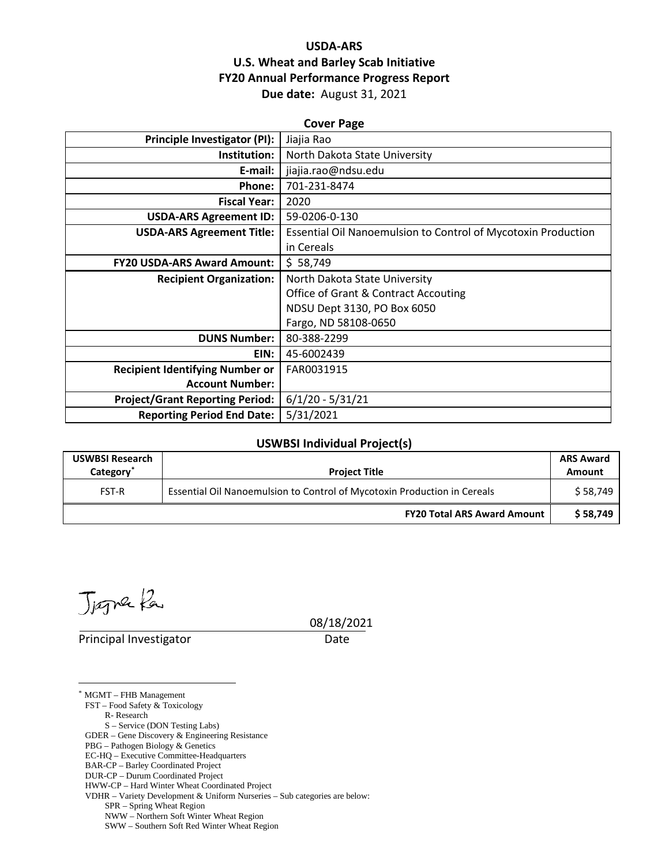### **USDA-ARS U.S. Wheat and Barley Scab Initiative FY20 Annual Performance Progress Report Due date:** August 31, 2021

| <b>Cover Page</b>                      |                                                                      |  |  |  |
|----------------------------------------|----------------------------------------------------------------------|--|--|--|
| <b>Principle Investigator (PI):</b>    | Jiajia Rao                                                           |  |  |  |
| Institution:                           | North Dakota State University                                        |  |  |  |
| E-mail:                                | jiajia.rao@ndsu.edu                                                  |  |  |  |
| Phone:                                 | 701-231-8474                                                         |  |  |  |
| <b>Fiscal Year:</b>                    | 2020                                                                 |  |  |  |
| <b>USDA-ARS Agreement ID:</b>          | 59-0206-0-130                                                        |  |  |  |
| <b>USDA-ARS Agreement Title:</b>       | <b>Essential Oil Nanoemulsion to Control of Mycotoxin Production</b> |  |  |  |
|                                        | in Cereals                                                           |  |  |  |
| <b>FY20 USDA-ARS Award Amount:</b>     | \$58,749                                                             |  |  |  |
| <b>Recipient Organization:</b>         | North Dakota State University                                        |  |  |  |
|                                        | <b>Office of Grant &amp; Contract Accouting</b>                      |  |  |  |
|                                        | NDSU Dept 3130, PO Box 6050                                          |  |  |  |
|                                        | Fargo, ND 58108-0650                                                 |  |  |  |
| <b>DUNS Number:</b>                    | 80-388-2299                                                          |  |  |  |
| EIN:                                   | 45-6002439                                                           |  |  |  |
| <b>Recipient Identifying Number or</b> | FAR0031915                                                           |  |  |  |
| <b>Account Number:</b>                 |                                                                      |  |  |  |
| <b>Project/Grant Reporting Period:</b> | $6/1/20 - 5/31/21$                                                   |  |  |  |
| <b>Reporting Period End Date:</b>      | 5/31/2021                                                            |  |  |  |

#### **USWBSI Individual Project(s)**

| <b>USWBSI Research</b><br>Category <sup>®</sup> | <b>Project Title</b>                                                     | <b>ARS Award</b><br>Amount |
|-------------------------------------------------|--------------------------------------------------------------------------|----------------------------|
| <b>FST-R</b>                                    | Essential Oil Nanoemulsion to Control of Mycotoxin Production in Cereals |                            |
|                                                 | <b>FY20 Total ARS Award Amount</b>                                       | \$58.749                   |

Jægne fa

Principal Investigator Date

08/18/2021

<span id="page-0-0"></span>\* MGMT – FHB Management

FST – Food Safety & Toxicology

R- Research

S – Service (DON Testing Labs) GDER – Gene Discovery & Engineering Resistance

PBG – Pathogen Biology & Genetics

EC-HQ – Executive Committee-Headquarters

BAR-CP – Barley Coordinated Project

DUR-CP – Durum Coordinated Project

HWW-CP – Hard Winter Wheat Coordinated Project

VDHR – Variety Development & Uniform Nurseries – Sub categories are below:

SPR – Spring Wheat Region

NWW – Northern Soft Winter Wheat Region

SWW – Southern Soft Red Winter Wheat Region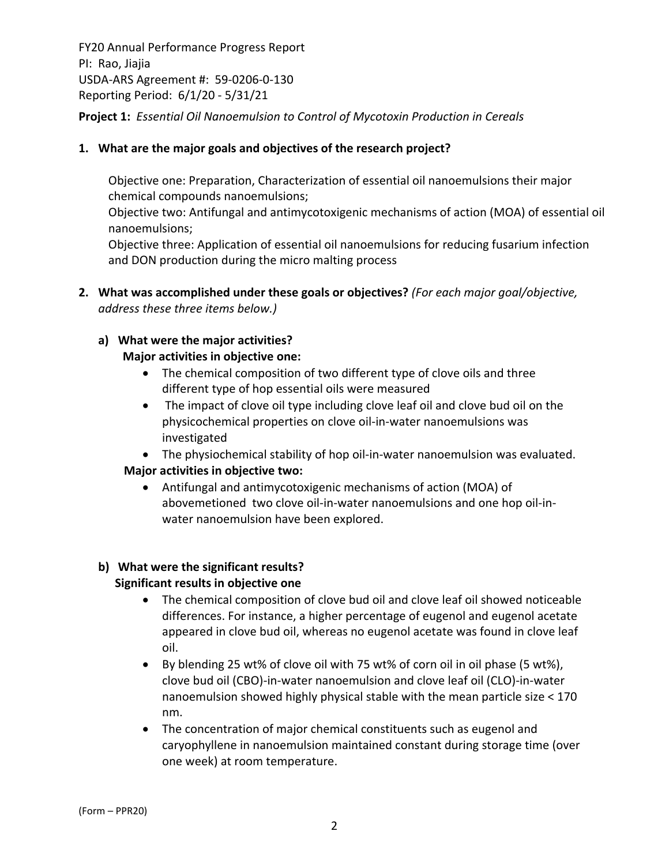FY20 Annual Performance Progress Report PI: Rao, Jiajia USDA‐ARS Agreement #: 59‐0206‐0‐130 Reporting Period: 6/1/20 ‐ 5/31/21 **Project 1:** *Essential Oil Nanoemulsion to Control of Mycotoxin Production in Cereals*

### **1. What are the major goals and objectives of the research project?**

Objective one: Preparation, Characterization of essential oil nanoemulsions their major chemical compounds nanoemulsions;

Objective two: Antifungal and antimycotoxigenic mechanisms of action (MOA) of essential oil nanoemulsions;

Objective three: Application of essential oil nanoemulsions for reducing fusarium infection and DON production during the micro malting process

**2. What was accomplished under these goals or objectives?** *(For each major goal/objective, address these three items below.)*

#### **a) What were the major activities? Major activities in objective one:**

- The chemical composition of two different type of clove oils and three different type of hop essential oils were measured
- The impact of clove oil type including clove leaf oil and clove bud oil on the physicochemical properties on clove oil‐in‐water nanoemulsions was investigated

 The physiochemical stability of hop oil‐in‐water nanoemulsion was evaluated. **Major activities in objective two:**

 Antifungal and antimycotoxigenic mechanisms of action (MOA) of abovemetioned two clove oil‐in‐water nanoemulsions and one hop oil‐in‐ water nanoemulsion have been explored.

#### **b) What were the significant results? Significant results in objective one**

- The chemical composition of clove bud oil and clove leaf oil showed noticeable differences. For instance, a higher percentage of eugenol and eugenol acetate appeared in clove bud oil, whereas no eugenol acetate was found in clove leaf oil.
- By blending 25 wt% of clove oil with 75 wt% of corn oil in oil phase (5 wt%), clove bud oil (CBO)‐in‐water nanoemulsion and clove leaf oil (CLO)‐in‐water nanoemulsion showed highly physical stable with the mean particle size < 170 nm.
- The concentration of major chemical constituents such as eugenol and caryophyllene in nanoemulsion maintained constant during storage time (over one week) at room temperature.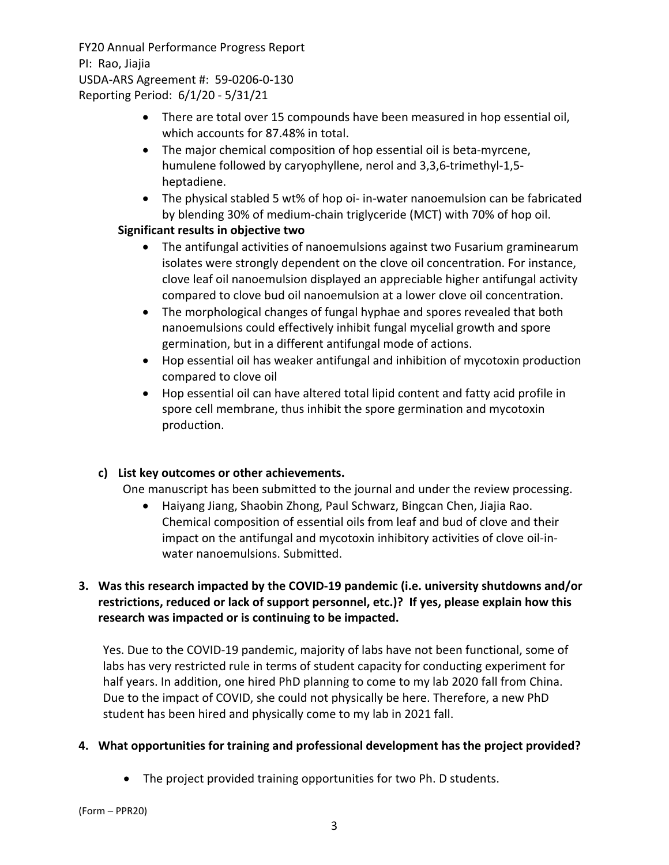- There are total over 15 compounds have been measured in hop essential oil, which accounts for 87.48% in total.
- The major chemical composition of hop essential oil is beta-myrcene, humulene followed by caryophyllene, nerol and 3,3,6‐trimethyl‐1,5‐ heptadiene.
- The physical stabled 5 wt% of hop oi‐ in‐water nanoemulsion can be fabricated by blending 30% of medium‐chain triglyceride (MCT) with 70% of hop oil.

### **Significant results in objective two**

- The antifungal activities of nanoemulsions against two Fusarium graminearum isolates were strongly dependent on the clove oil concentration. For instance, clove leaf oil nanoemulsion displayed an appreciable higher antifungal activity compared to clove bud oil nanoemulsion at a lower clove oil concentration.
- The morphological changes of fungal hyphae and spores revealed that both nanoemulsions could effectively inhibit fungal mycelial growth and spore germination, but in a different antifungal mode of actions.
- Hop essential oil has weaker antifungal and inhibition of mycotoxin production compared to clove oil
- Hop essential oil can have altered total lipid content and fatty acid profile in spore cell membrane, thus inhibit the spore germination and mycotoxin production.

### **c) List key outcomes or other achievements.**

One manuscript has been submitted to the journal and under the review processing.

 Haiyang Jiang, Shaobin Zhong, Paul Schwarz, Bingcan Chen, Jiajia Rao. Chemical composition of essential oils from leaf and bud of clove and their impact on the antifungal and mycotoxin inhibitory activities of clove oil‐in‐ water nanoemulsions. Submitted.

### **3. Was this research impacted by the COVID‐19 pandemic (i.e. university shutdowns and/or restrictions, reduced or lack of support personnel, etc.)? If yes, please explain how this research was impacted or is continuing to be impacted.**

Yes. Due to the COVID‐19 pandemic, majority of labs have not been functional, some of labs has very restricted rule in terms of student capacity for conducting experiment for half years. In addition, one hired PhD planning to come to my lab 2020 fall from China. Due to the impact of COVID, she could not physically be here. Therefore, a new PhD student has been hired and physically come to my lab in 2021 fall.

#### **4. What opportunities for training and professional development has the project provided?**

The project provided training opportunities for two Ph. D students.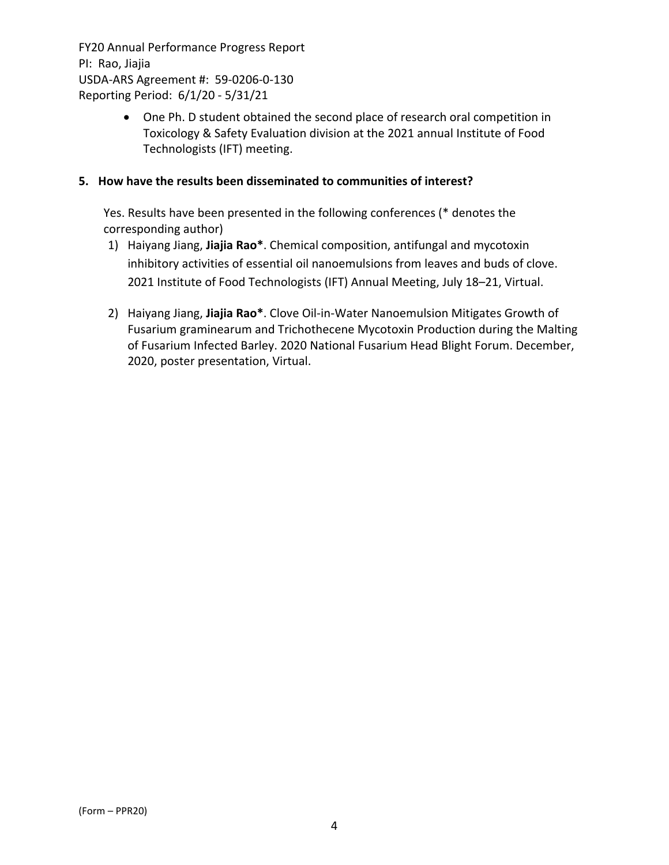> One Ph. D student obtained the second place of research oral competition in Toxicology & Safety Evaluation division at the 2021 annual Institute of Food Technologists (IFT) meeting.

#### **5. How have the results been disseminated to communities of interest?**

Yes. Results have been presented in the following conferences (\* denotes the corresponding author)

- 1) Haiyang Jiang, **Jiajia Rao\***. Chemical composition, antifungal and mycotoxin inhibitory activities of essential oil nanoemulsions from leaves and buds of clove. 2021 Institute of Food Technologists (IFT) Annual Meeting, July 18–21, Virtual.
- 2) Haiyang Jiang, **Jiajia Rao\***. Clove Oil‐in‐Water Nanoemulsion Mitigates Growth of Fusarium graminearum and Trichothecene Mycotoxin Production during the Malting of Fusarium Infected Barley. 2020 National Fusarium Head Blight Forum. December, 2020, poster presentation, Virtual.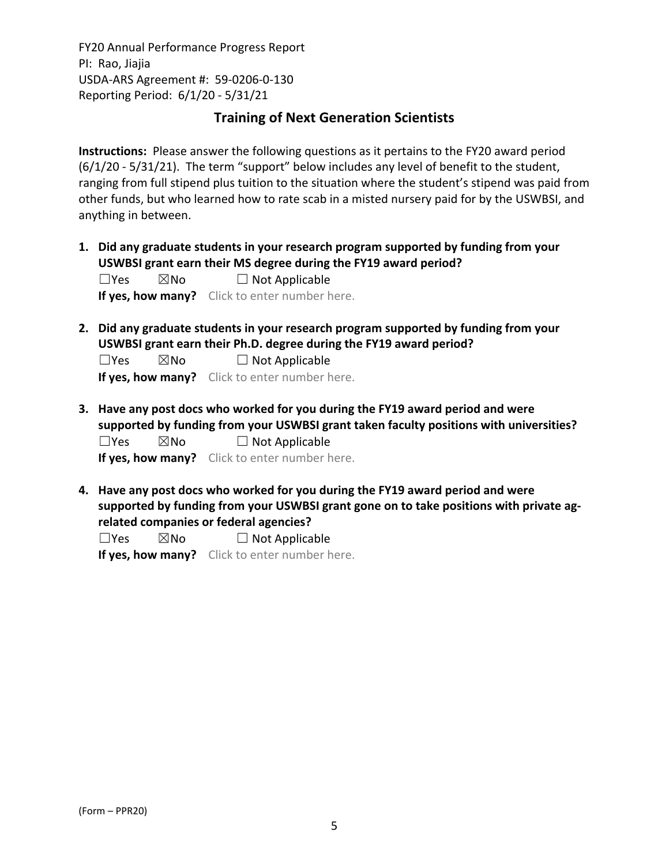## **Training of Next Generation Scientists**

**Instructions:** Please answer the following questions as it pertains to the FY20 award period (6/1/20 ‐ 5/31/21). The term "support" below includes any level of benefit to the student, ranging from full stipend plus tuition to the situation where the student's stipend was paid from other funds, but who learned how to rate scab in a misted nursery paid for by the USWBSI, and anything in between.

**1. Did any graduate students in your research program supported by funding from your USWBSI grant earn their MS degree during the FY19 award period?**

| $\square$ Yes | ⊠No | $\Box$ Not Applicable                         |
|---------------|-----|-----------------------------------------------|
|               |     | If yes, how many? Click to enter number here. |

**2. Did any graduate students in your research program supported by funding from your USWBSI grant earn their Ph.D. degree during the FY19 award period?**

 $\Box$ Yes  $\boxtimes$ No  $\Box$  Not Applicable **If yes, how many?** Click to enter number here.

**3. Have any post docs who worked for you during the FY19 award period and were supported by funding from your USWBSI grant taken faculty positions with universities?**  $\square$ Yes  $\square$ No  $\square$  Not Applicable

**If yes, how many?** Click to enter number here.

**4. Have any post docs who worked for you during the FY19 award period and were supported by funding from your USWBSI grant gone on to take positions with private ag‐ related companies or federal agencies?**

 $\square$ Yes  $\square$ No  $\square$  Not Applicable

**If yes, how many?** Click to enter number here.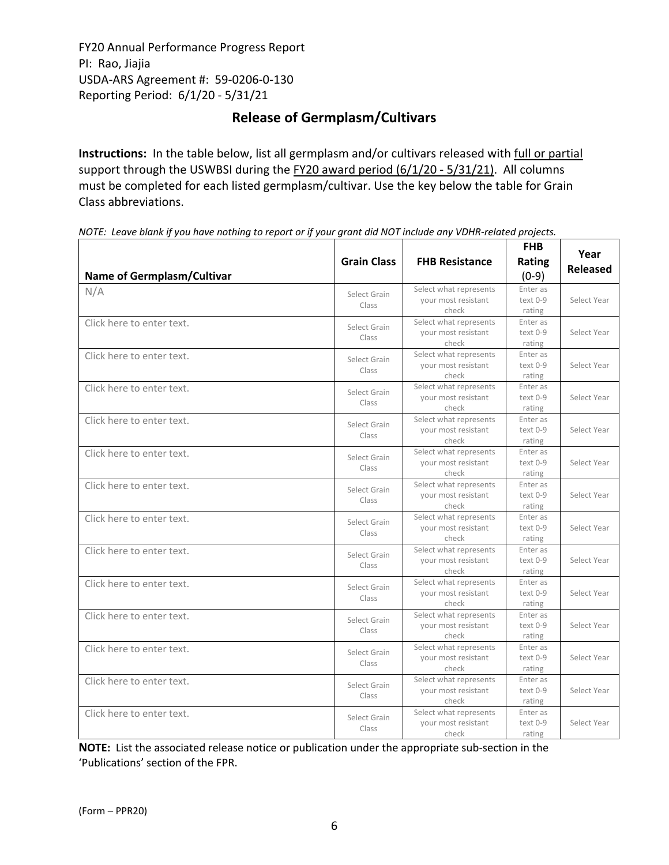## **Release of Germplasm/Cultivars**

**Instructions:** In the table below, list all germplasm and/or cultivars released with full or partial support through the USWBSI during the FY20 award period (6/1/20 ‐ 5/31/21). All columns must be completed for each listed germplasm/cultivar. Use the key below the table for Grain Class abbreviations. 

| Name of Germplasm/Cultivar | <b>Grain Class</b>    | <b>FHB Resistance</b>                                  | <b>FHB</b><br>Rating<br>$(0-9)$ | Year<br><b>Released</b> |
|----------------------------|-----------------------|--------------------------------------------------------|---------------------------------|-------------------------|
| N/A                        | Select Grain<br>Class | Select what represents<br>your most resistant<br>check | Enter as<br>text 0-9<br>rating  | Select Year             |
| Click here to enter text.  | Select Grain<br>Class | Select what represents<br>your most resistant<br>check | Enter as<br>text 0-9<br>rating  | Select Year             |
| Click here to enter text.  | Select Grain<br>Class | Select what represents<br>vour most resistant<br>check | Enter as<br>text 0-9<br>rating  | Select Year             |
| Click here to enter text.  | Select Grain<br>Class | Select what represents<br>your most resistant<br>check | Enter as<br>text 0-9<br>rating  | Select Year             |
| Click here to enter text.  | Select Grain<br>Class | Select what represents<br>your most resistant<br>check | Enter as<br>text 0-9<br>rating  | Select Year             |
| Click here to enter text.  | Select Grain<br>Class | Select what represents<br>your most resistant<br>check | Enter as<br>text 0-9<br>rating  | Select Year             |
| Click here to enter text.  | Select Grain<br>Class | Select what represents<br>your most resistant<br>check | Enter as<br>text 0-9<br>rating  | Select Year             |
| Click here to enter text.  | Select Grain<br>Class | Select what represents<br>your most resistant<br>check | Enter as<br>text 0-9<br>rating  | Select Year             |
| Click here to enter text.  | Select Grain<br>Class | Select what represents<br>your most resistant<br>check | Enter as<br>text 0-9<br>rating  | Select Year             |
| Click here to enter text.  | Select Grain<br>Class | Select what represents<br>your most resistant<br>check | Enter as<br>text 0-9<br>rating  | Select Year             |
| Click here to enter text.  | Select Grain<br>Class | Select what represents<br>your most resistant<br>check | Enter as<br>text 0-9<br>rating  | Select Year             |
| Click here to enter text.  | Select Grain<br>Class | Select what represents<br>your most resistant<br>check | Enter as<br>text 0-9<br>rating  | Select Year             |
| Click here to enter text.  | Select Grain<br>Class | Select what represents<br>your most resistant<br>check | Enter as<br>text 0-9<br>rating  | Select Year             |
| Click here to enter text.  | Select Grain<br>Class | Select what represents<br>your most resistant<br>check | Enter as<br>text 0-9<br>rating  | Select Year             |

NOTE: Leave blank if you have nothing to report or if your grant did NOT include any VDHR-related projects.

**NOTE:** List the associated release notice or publication under the appropriate sub-section in the 'Publications' section of the FPR.